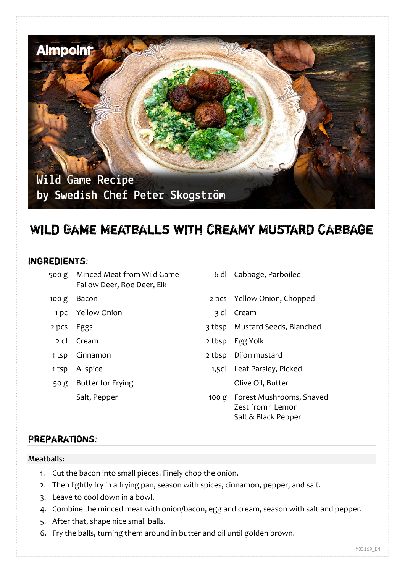

# Wild Game Meatballs with Creamy Mustard Cabbage

## Ingredients:

| 500 g            | Minced Meat from Wild Game<br>Fallow Deer, Roe Deer, Elk | 6 dl   | Cabbage, Parboiled                                                         |
|------------------|----------------------------------------------------------|--------|----------------------------------------------------------------------------|
| 100 <sub>g</sub> | Bacon                                                    |        | 2 pcs Yellow Onion, Chopped                                                |
| 1 pc             | <b>Yellow Onion</b>                                      | 3 dl   | Cream                                                                      |
| 2 pcs            | Eggs                                                     |        | 3 tbsp Mustard Seeds, Blanched                                             |
| 2 dl             | Cream                                                    | 2 tbsp | Egg Yolk                                                                   |
| 1 tsp            | Cinnamon                                                 | 2 tbsp | Dijon mustard                                                              |
| 1 tsp            | Allspice                                                 |        | 1,5dl Leaf Parsley, Picked                                                 |
| 50 <sub>g</sub>  | <b>Butter for Frying</b>                                 |        | Olive Oil, Butter                                                          |
|                  | Salt, Pepper                                             |        | 100 g Forest Mushrooms, Shaved<br>Zest from 1 Lemon<br>Salt & Black Pepper |

# Preparations:

#### **Meatballs:**

- 1. Cut the bacon into small pieces. Finely chop the onion.
- 2. Then lightly fry in a frying pan, season with spices, cinnamon, pepper, and salt.
- 3. Leave to cool down in a bowl.
- 4. Combine the minced meat with onion/bacon, egg and cream, season with salt and pepper.
- 5. After that, shape nice small balls.
- 6. Fry the balls, turning them around in butter and oil until golden brown.